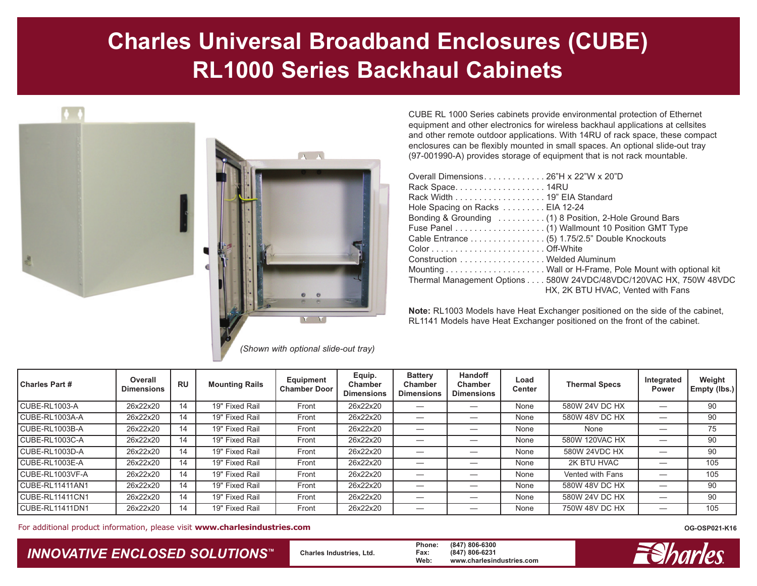## **Charles Universal Broadband Enclosures (CUBE) RL1000 Series Backhaul Cabinets**



*(Shown with optional slide-out tray)*

CUBE RL 1000 Series cabinets provide environmental protection of Ethernet equipment and other electronics for wireless backhaul applications at cellsites and other remote outdoor applications. With 14RU of rack space, these compact enclosures can be flexibly mounted in small spaces. An optional slide-out tray (97-001990-A) provides storage of equipment that is not rack mountable.

| Overall Dimensions26"H x 22"W x 20"D                                                                   |  |
|--------------------------------------------------------------------------------------------------------|--|
| Rack Space14RU                                                                                         |  |
| Rack Width 19" EIA Standard                                                                            |  |
| Hole Spacing on Racks EIA 12-24                                                                        |  |
| Bonding & Grounding  (1) 8 Position, 2-Hole Ground Bars                                                |  |
|                                                                                                        |  |
|                                                                                                        |  |
|                                                                                                        |  |
| Construction Welded Aluminum                                                                           |  |
|                                                                                                        |  |
| Thermal Management Options 580W 24VDC/48VDC/120VAC HX, 750W 48VDC<br>HX, 2K BTU HVAC, Vented with Fans |  |
|                                                                                                        |  |

**Note:** RL1003 Models have Heat Exchanger positioned on the side of the cabinet, RL1141 Models have Heat Exchanger positioned on the front of the cabinet.

| <b>Charles Part #</b>  | Overall<br><b>Dimensions</b> | <b>RU</b> | <b>Mounting Rails</b> | <b>Equipment</b><br><b>Chamber Door</b> | Equip.<br><b>Chamber</b><br><b>Dimensions</b> | <b>Battery</b><br><b>Chamber</b><br><b>Dimensions</b> | <b>Handoff</b><br><b>Chamber</b><br><b>Dimensions</b> | Load<br><b>Center</b> | <b>Thermal Specs</b> | Integrated<br><b>Power</b> | Weight<br>Empty (lbs.) |
|------------------------|------------------------------|-----------|-----------------------|-----------------------------------------|-----------------------------------------------|-------------------------------------------------------|-------------------------------------------------------|-----------------------|----------------------|----------------------------|------------------------|
| CUBE-RL1003-A          | 26x22x20                     | 14        | 19" Fixed Rail        | Front                                   | 26x22x20                                      |                                                       |                                                       | None                  | 580W 24V DC HX       |                            | 90                     |
| CUBE-RL1003A-A         | 26x22x20                     | 14        | 19" Fixed Rail        | Front                                   | 26x22x20                                      |                                                       |                                                       | None                  | 580W 48V DC HX       |                            | 90                     |
| CUBE-RL1003B-A         | 26x22x20                     | 14        | 19" Fixed Rail        | Front                                   | 26x22x20                                      |                                                       |                                                       | None                  | None                 |                            | 75                     |
| CUBE-RL1003C-A         | 26x22x20                     | 14        | 19" Fixed Rail        | Front                                   | 26x22x20                                      |                                                       |                                                       | None                  | 580W 120VAC HX       |                            | 90                     |
| CUBE-RL1003D-A         | 26x22x20                     | 14        | 19" Fixed Rail        | Front                                   | 26x22x20                                      |                                                       |                                                       | None                  | 580W 24VDC HX        |                            | 90                     |
| CUBE-RL1003E-A         | 26x22x20                     | 14        | 19" Fixed Rail        | Front                                   | 26x22x20                                      |                                                       |                                                       | None                  | 2K BTU HVAC          |                            | 105                    |
| CUBE-RL1003VF-A        | 26x22x20                     | 14        | 19" Fixed Rail        | Front                                   | 26x22x20                                      |                                                       |                                                       | None                  | Vented with Fans     |                            | 105                    |
| CUBE-RL11411AN1        | 26x22x20                     | 14        | 19" Fixed Rail        | Front                                   | 26x22x20                                      |                                                       |                                                       | None                  | 580W 48V DC HX       |                            | 90                     |
| CUBE-RL11411CN1        | 26x22x20                     | 14        | 19" Fixed Rail        | Front                                   | 26x22x20                                      |                                                       |                                                       | None                  | 580W 24V DC HX       |                            | 90                     |
| <b>CUBE-RL11411DN1</b> | 26x22x20                     | 14        | 19" Fixed Rail        | Front                                   | 26x22x20                                      |                                                       |                                                       | None                  | 750W 48V DC HX       |                            | 105                    |

For additional product information, please visit www.charlesindustries.com **DELA COSP021-K16 OG-OSP021-K16** 

*INNOVATIVE ENCLOSED SOLUTIONS ™*

**Charles Industries, Ltd.**

**Phone: (847) 806-6300 Fax: (847) 806-6231 Web: www.charlesindustries.com**